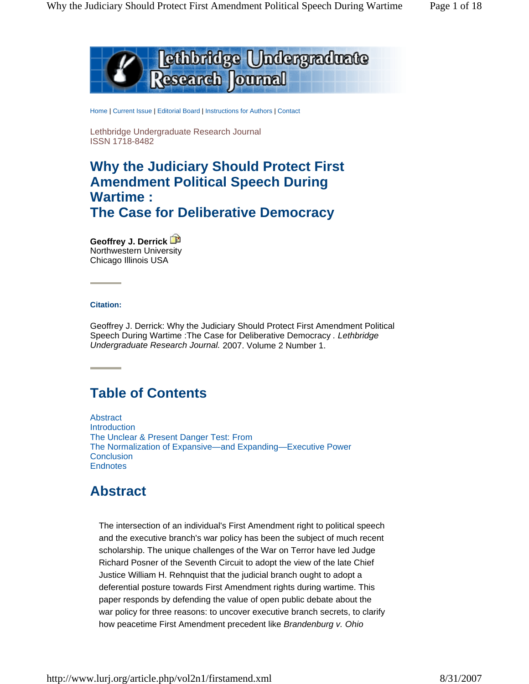

Home | Current Issue | Editorial Board | Instructions for Authors | Contact

Lethbridge Undergraduate Research Journal ISSN 1718-8482

# **Why the Judiciary Should Protect First Amendment Political Speech During Wartime : The Case for Deliberative Democracy**

**Geoffrey J. Derrick** Northwestern University Chicago Illinois USA

#### **Citation:**

Geoffrey J. Derrick: Why the Judiciary Should Protect First Amendment Political Speech During Wartime :The Case for Deliberative Democracy *. Lethbridge Undergraduate Research Journal.* 2007. Volume 2 Number 1.

# **Table of Contents**

Abstract Introduction The Unclear & Present Danger Test: From The Normalization of Expansive—and Expanding—Executive Power **Conclusion Endnotes** 

# **Abstract**

The intersection of an individual's First Amendment right to political speech and the executive branch's war policy has been the subject of much recent scholarship. The unique challenges of the War on Terror have led Judge Richard Posner of the Seventh Circuit to adopt the view of the late Chief Justice William H. Rehnquist that the judicial branch ought to adopt a deferential posture towards First Amendment rights during wartime. This paper responds by defending the value of open public debate about the war policy for three reasons: to uncover executive branch secrets, to clarify how peacetime First Amendment precedent like *Brandenburg v. Ohio*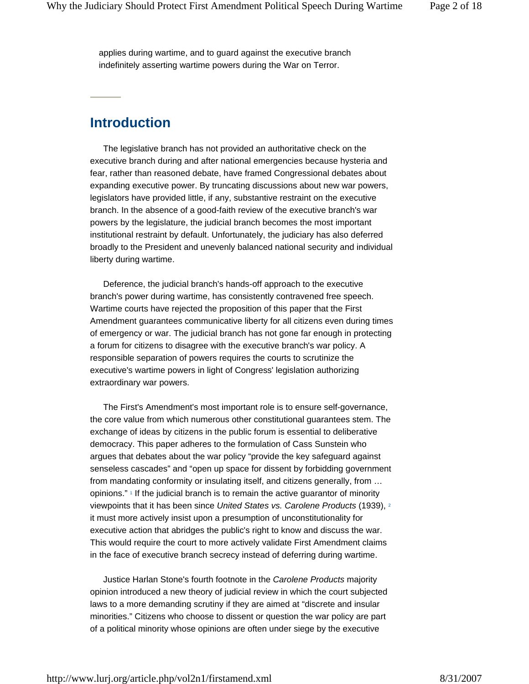applies during wartime, and to guard against the executive branch indefinitely asserting wartime powers during the War on Terror.

#### **Introduction**

The legislative branch has not provided an authoritative check on the executive branch during and after national emergencies because hysteria and fear, rather than reasoned debate, have framed Congressional debates about expanding executive power. By truncating discussions about new war powers, legislators have provided little, if any, substantive restraint on the executive branch. In the absence of a good-faith review of the executive branch's war powers by the legislature, the judicial branch becomes the most important institutional restraint by default. Unfortunately, the judiciary has also deferred broadly to the President and unevenly balanced national security and individual liberty during wartime.

Deference, the judicial branch's hands-off approach to the executive branch's power during wartime, has consistently contravened free speech. Wartime courts have rejected the proposition of this paper that the First Amendment guarantees communicative liberty for all citizens even during times of emergency or war. The judicial branch has not gone far enough in protecting a forum for citizens to disagree with the executive branch's war policy. A responsible separation of powers requires the courts to scrutinize the executive's wartime powers in light of Congress' legislation authorizing extraordinary war powers.

The First's Amendment's most important role is to ensure self-governance, the core value from which numerous other constitutional guarantees stem. The exchange of ideas by citizens in the public forum is essential to deliberative democracy. This paper adheres to the formulation of Cass Sunstein who argues that debates about the war policy "provide the key safeguard against senseless cascades" and "open up space for dissent by forbidding government from mandating conformity or insulating itself, and citizens generally, from … opinions." 1 If the judicial branch is to remain the active guarantor of minority viewpoints that it has been since *United States vs. Carolene Products* (1939), 2 it must more actively insist upon a presumption of unconstitutionality for executive action that abridges the public's right to know and discuss the war. This would require the court to more actively validate First Amendment claims in the face of executive branch secrecy instead of deferring during wartime.

Justice Harlan Stone's fourth footnote in the *Carolene Products* majority opinion introduced a new theory of judicial review in which the court subjected laws to a more demanding scrutiny if they are aimed at "discrete and insular minorities." Citizens who choose to dissent or question the war policy are part of a political minority whose opinions are often under siege by the executive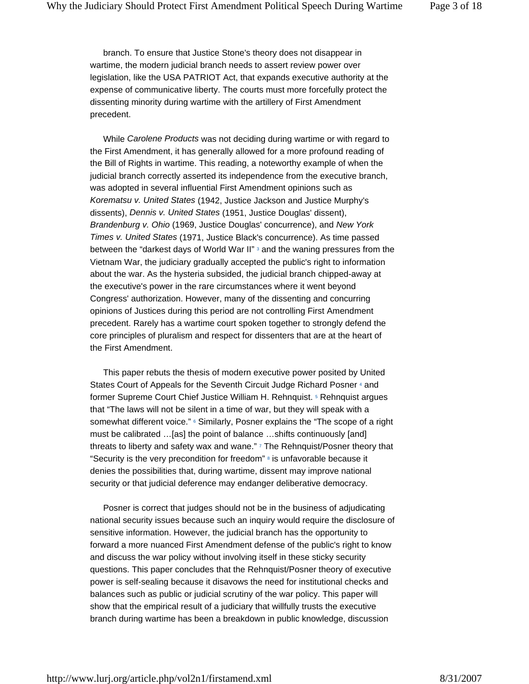branch. To ensure that Justice Stone's theory does not disappear in wartime, the modern judicial branch needs to assert review power over legislation, like the USA PATRIOT Act, that expands executive authority at the expense of communicative liberty. The courts must more forcefully protect the dissenting minority during wartime with the artillery of First Amendment precedent.

While *Carolene Products* was not deciding during wartime or with regard to the First Amendment, it has generally allowed for a more profound reading of the Bill of Rights in wartime. This reading, a noteworthy example of when the judicial branch correctly asserted its independence from the executive branch, was adopted in several influential First Amendment opinions such as *Korematsu v. United States* (1942, Justice Jackson and Justice Murphy's dissents), *Dennis v. United States* (1951, Justice Douglas' dissent), *Brandenburg v. Ohio* (1969, Justice Douglas' concurrence), and *New York Times v. United States* (1971, Justice Black's concurrence). As time passed between the "darkest days of World War II" 3 and the waning pressures from the Vietnam War, the judiciary gradually accepted the public's right to information about the war. As the hysteria subsided, the judicial branch chipped-away at the executive's power in the rare circumstances where it went beyond Congress' authorization. However, many of the dissenting and concurring opinions of Justices during this period are not controlling First Amendment precedent. Rarely has a wartime court spoken together to strongly defend the core principles of pluralism and respect for dissenters that are at the heart of the First Amendment.

This paper rebuts the thesis of modern executive power posited by United States Court of Appeals for the Seventh Circuit Judge Richard Posner 4 and former Supreme Court Chief Justice William H. Rehnquist. 5 Rehnquist argues that "The laws will not be silent in a time of war, but they will speak with a somewhat different voice." <sup>6</sup> Similarly, Posner explains the "The scope of a right must be calibrated …[as] the point of balance …shifts continuously [and] threats to liberty and safety wax and wane." 7 The Rehnquist/Posner theory that "Security is the very precondition for freedom"  $8$  is unfavorable because it denies the possibilities that, during wartime, dissent may improve national security or that judicial deference may endanger deliberative democracy.

Posner is correct that judges should not be in the business of adjudicating national security issues because such an inquiry would require the disclosure of sensitive information. However, the judicial branch has the opportunity to forward a more nuanced First Amendment defense of the public's right to know and discuss the war policy without involving itself in these sticky security questions. This paper concludes that the Rehnquist/Posner theory of executive power is self-sealing because it disavows the need for institutional checks and balances such as public or judicial scrutiny of the war policy. This paper will show that the empirical result of a judiciary that willfully trusts the executive branch during wartime has been a breakdown in public knowledge, discussion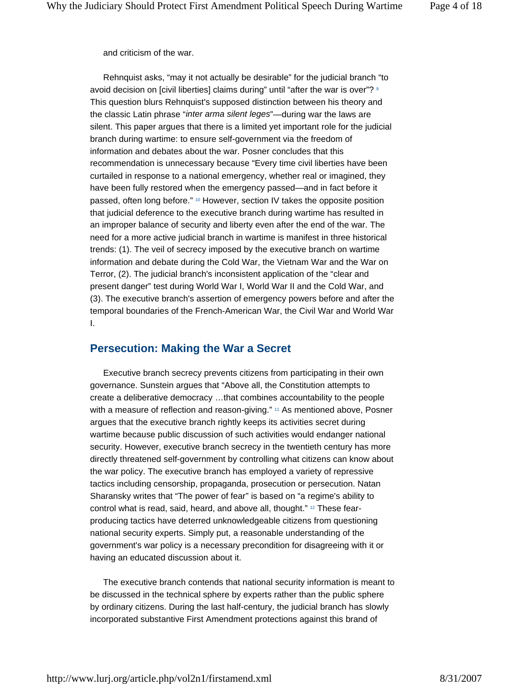and criticism of the war.

Rehnquist asks, "may it not actually be desirable" for the judicial branch "to avoid decision on [civil liberties] claims during" until "after the war is over"? 9 This question blurs Rehnquist's supposed distinction between his theory and the classic Latin phrase "*inter arma silent leges*"—during war the laws are silent. This paper argues that there is a limited yet important role for the judicial branch during wartime: to ensure self-government via the freedom of information and debates about the war. Posner concludes that this recommendation is unnecessary because "Every time civil liberties have been curtailed in response to a national emergency, whether real or imagined, they have been fully restored when the emergency passed—and in fact before it passed, often long before." 10 However, section IV takes the opposite position that judicial deference to the executive branch during wartime has resulted in an improper balance of security and liberty even after the end of the war. The need for a more active judicial branch in wartime is manifest in three historical trends: (1). The veil of secrecy imposed by the executive branch on wartime information and debate during the Cold War, the Vietnam War and the War on Terror, (2). The judicial branch's inconsistent application of the "clear and present danger" test during World War I, World War II and the Cold War, and (3). The executive branch's assertion of emergency powers before and after the temporal boundaries of the French-American War, the Civil War and World War I.

#### **Persecution: Making the War a Secret**

Executive branch secrecy prevents citizens from participating in their own governance. Sunstein argues that "Above all, the Constitution attempts to create a deliberative democracy …that combines accountability to the people with a measure of reflection and reason-giving." <sup>11</sup> As mentioned above, Posner argues that the executive branch rightly keeps its activities secret during wartime because public discussion of such activities would endanger national security. However, executive branch secrecy in the twentieth century has more directly threatened self-government by controlling what citizens can know about the war policy. The executive branch has employed a variety of repressive tactics including censorship, propaganda, prosecution or persecution. Natan Sharansky writes that "The power of fear" is based on "a regime's ability to control what is read, said, heard, and above all, thought."<sup>12</sup> These fearproducing tactics have deterred unknowledgeable citizens from questioning national security experts. Simply put, a reasonable understanding of the government's war policy is a necessary precondition for disagreeing with it or having an educated discussion about it.

The executive branch contends that national security information is meant to be discussed in the technical sphere by experts rather than the public sphere by ordinary citizens. During the last half-century, the judicial branch has slowly incorporated substantive First Amendment protections against this brand of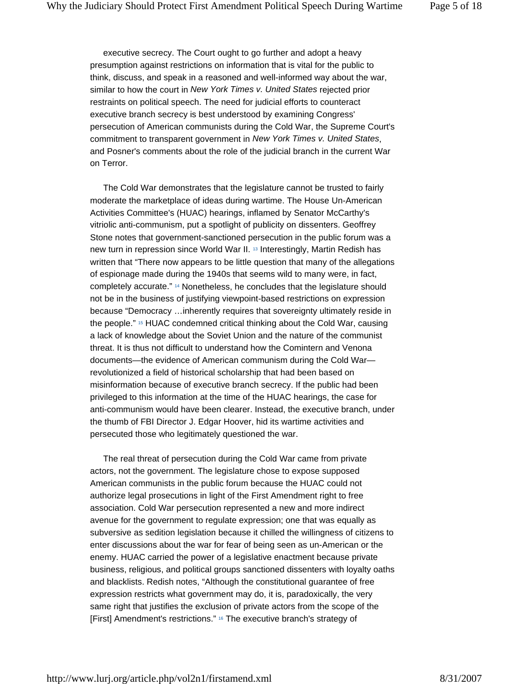executive secrecy. The Court ought to go further and adopt a heavy presumption against restrictions on information that is vital for the public to think, discuss, and speak in a reasoned and well-informed way about the war, similar to how the court in *New York Times v. United States* rejected prior restraints on political speech. The need for judicial efforts to counteract executive branch secrecy is best understood by examining Congress' persecution of American communists during the Cold War, the Supreme Court's commitment to transparent government in *New York Times v. United States*, and Posner's comments about the role of the judicial branch in the current War on Terror.

The Cold War demonstrates that the legislature cannot be trusted to fairly moderate the marketplace of ideas during wartime. The House Un-American Activities Committee's (HUAC) hearings, inflamed by Senator McCarthy's vitriolic anti-communism, put a spotlight of publicity on dissenters. Geoffrey Stone notes that government-sanctioned persecution in the public forum was a new turn in repression since World War II. 13 Interestingly, Martin Redish has written that "There now appears to be little question that many of the allegations of espionage made during the 1940s that seems wild to many were, in fact, completely accurate." 14 Nonetheless, he concludes that the legislature should not be in the business of justifying viewpoint-based restrictions on expression because "Democracy …inherently requires that sovereignty ultimately reside in the people." 15 HUAC condemned critical thinking about the Cold War, causing a lack of knowledge about the Soviet Union and the nature of the communist threat. It is thus not difficult to understand how the Comintern and Venona documents—the evidence of American communism during the Cold War revolutionized a field of historical scholarship that had been based on misinformation because of executive branch secrecy. If the public had been privileged to this information at the time of the HUAC hearings, the case for anti-communism would have been clearer. Instead, the executive branch, under the thumb of FBI Director J. Edgar Hoover, hid its wartime activities and persecuted those who legitimately questioned the war.

The real threat of persecution during the Cold War came from private actors, not the government. The legislature chose to expose supposed American communists in the public forum because the HUAC could not authorize legal prosecutions in light of the First Amendment right to free association. Cold War persecution represented a new and more indirect avenue for the government to regulate expression; one that was equally as subversive as sedition legislation because it chilled the willingness of citizens to enter discussions about the war for fear of being seen as un-American or the enemy. HUAC carried the power of a legislative enactment because private business, religious, and political groups sanctioned dissenters with loyalty oaths and blacklists. Redish notes, "Although the constitutional guarantee of free expression restricts what government may do, it is, paradoxically, the very same right that justifies the exclusion of private actors from the scope of the [First] Amendment's restrictions." 16 The executive branch's strategy of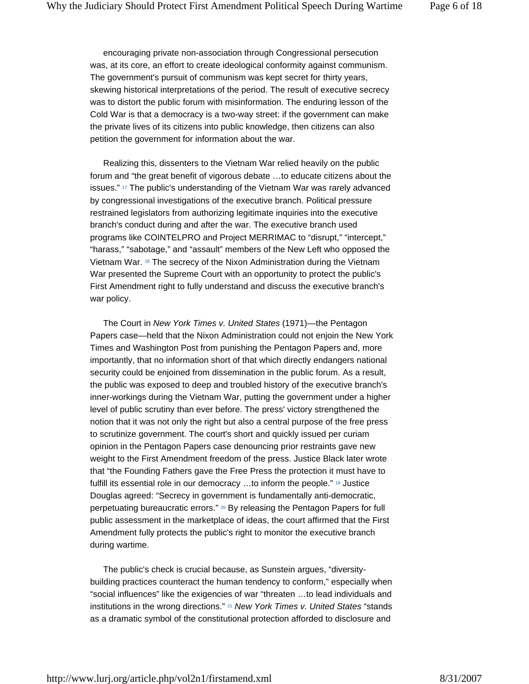encouraging private non-association through Congressional persecution was, at its core, an effort to create ideological conformity against communism. The government's pursuit of communism was kept secret for thirty years, skewing historical interpretations of the period. The result of executive secrecy was to distort the public forum with misinformation. The enduring lesson of the Cold War is that a democracy is a two-way street: if the government can make the private lives of its citizens into public knowledge, then citizens can also petition the government for information about the war.

Realizing this, dissenters to the Vietnam War relied heavily on the public forum and "the great benefit of vigorous debate …to educate citizens about the issues." <sup>17</sup> The public's understanding of the Vietnam War was rarely advanced by congressional investigations of the executive branch. Political pressure restrained legislators from authorizing legitimate inquiries into the executive branch's conduct during and after the war. The executive branch used programs like COINTELPRO and Project MERRIMAC to "disrupt," "intercept," "harass," "sabotage," and "assault" members of the New Left who opposed the Vietnam War. 18 The secrecy of the Nixon Administration during the Vietnam War presented the Supreme Court with an opportunity to protect the public's First Amendment right to fully understand and discuss the executive branch's war policy.

The Court in *New York Times v. United States* (1971)—the Pentagon Papers case—held that the Nixon Administration could not enjoin the New York Times and Washington Post from punishing the Pentagon Papers and, more importantly, that no information short of that which directly endangers national security could be enjoined from dissemination in the public forum. As a result, the public was exposed to deep and troubled history of the executive branch's inner-workings during the Vietnam War, putting the government under a higher level of public scrutiny than ever before. The press' victory strengthened the notion that it was not only the right but also a central purpose of the free press to scrutinize government. The court's short and quickly issued per curiam opinion in the Pentagon Papers case denouncing prior restraints gave new weight to the First Amendment freedom of the press. Justice Black later wrote that "the Founding Fathers gave the Free Press the protection it must have to fulfill its essential role in our democracy …to inform the people." 19 Justice Douglas agreed: "Secrecy in government is fundamentally anti-democratic, perpetuating bureaucratic errors." 20 By releasing the Pentagon Papers for full public assessment in the marketplace of ideas, the court affirmed that the First Amendment fully protects the public's right to monitor the executive branch during wartime.

The public's check is crucial because, as Sunstein argues, "diversitybuilding practices counteract the human tendency to conform," especially when "social influences" like the exigencies of war "threaten …to lead individuals and institutions in the wrong directions." 21 *New York Times v. United States* "stands as a dramatic symbol of the constitutional protection afforded to disclosure and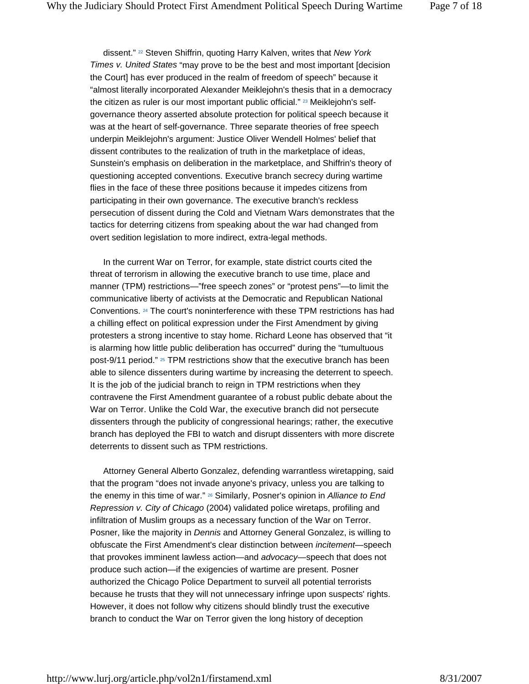dissent." 22 Steven Shiffrin, quoting Harry Kalven, writes that *New York Times v. United States* "may prove to be the best and most important [decision the Court] has ever produced in the realm of freedom of speech" because it "almost literally incorporated Alexander Meiklejohn's thesis that in a democracy the citizen as ruler is our most important public official." 23 Meiklejohn's selfgovernance theory asserted absolute protection for political speech because it was at the heart of self-governance. Three separate theories of free speech underpin Meiklejohn's argument: Justice Oliver Wendell Holmes' belief that dissent contributes to the realization of truth in the marketplace of ideas, Sunstein's emphasis on deliberation in the marketplace, and Shiffrin's theory of questioning accepted conventions. Executive branch secrecy during wartime flies in the face of these three positions because it impedes citizens from participating in their own governance. The executive branch's reckless persecution of dissent during the Cold and Vietnam Wars demonstrates that the tactics for deterring citizens from speaking about the war had changed from overt sedition legislation to more indirect, extra-legal methods.

In the current War on Terror, for example, state district courts cited the threat of terrorism in allowing the executive branch to use time, place and manner (TPM) restrictions—"free speech zones" or "protest pens"—to limit the communicative liberty of activists at the Democratic and Republican National Conventions. 24 The court's noninterference with these TPM restrictions has had a chilling effect on political expression under the First Amendment by giving protesters a strong incentive to stay home. Richard Leone has observed that "it is alarming how little public deliberation has occurred" during the "tumultuous post-9/11 period." 25 TPM restrictions show that the executive branch has been able to silence dissenters during wartime by increasing the deterrent to speech. It is the job of the judicial branch to reign in TPM restrictions when they contravene the First Amendment guarantee of a robust public debate about the War on Terror. Unlike the Cold War, the executive branch did not persecute dissenters through the publicity of congressional hearings; rather, the executive branch has deployed the FBI to watch and disrupt dissenters with more discrete deterrents to dissent such as TPM restrictions.

Attorney General Alberto Gonzalez, defending warrantless wiretapping, said that the program "does not invade anyone's privacy, unless you are talking to the enemy in this time of war." 26 Similarly, Posner's opinion in *Alliance to End Repression v. City of Chicago* (2004) validated police wiretaps, profiling and infiltration of Muslim groups as a necessary function of the War on Terror. Posner, like the majority in *Dennis* and Attorney General Gonzalez, is willing to obfuscate the First Amendment's clear distinction between *incitement*—speech that provokes imminent lawless action—and *advocacy*—speech that does not produce such action—if the exigencies of wartime are present. Posner authorized the Chicago Police Department to surveil all potential terrorists because he trusts that they will not unnecessary infringe upon suspects' rights. However, it does not follow why citizens should blindly trust the executive branch to conduct the War on Terror given the long history of deception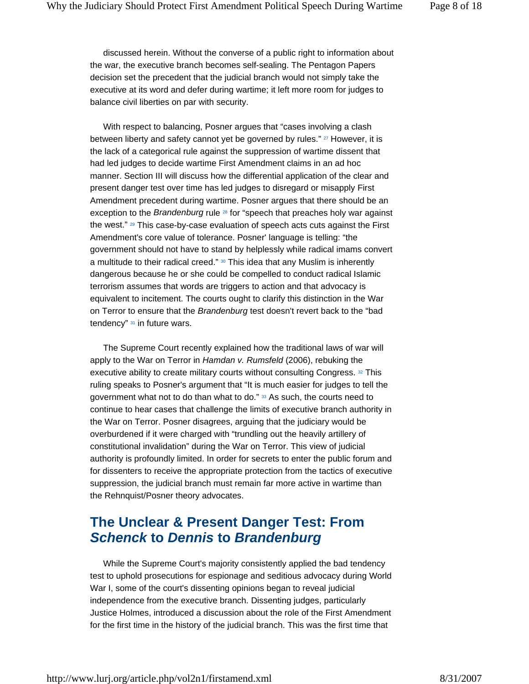discussed herein. Without the converse of a public right to information about the war, the executive branch becomes self-sealing. The Pentagon Papers decision set the precedent that the judicial branch would not simply take the executive at its word and defer during wartime; it left more room for judges to balance civil liberties on par with security.

With respect to balancing, Posner argues that "cases involving a clash between liberty and safety cannot yet be governed by rules." 27 However, it is the lack of a categorical rule against the suppression of wartime dissent that had led judges to decide wartime First Amendment claims in an ad hoc manner. Section III will discuss how the differential application of the clear and present danger test over time has led judges to disregard or misapply First Amendment precedent during wartime. Posner argues that there should be an exception to the *Brandenburg* rule 28 for "speech that preaches holy war against the west." 29 This case-by-case evaluation of speech acts cuts against the First Amendment's core value of tolerance. Posner' language is telling: "the government should not have to stand by helplessly while radical imams convert a multitude to their radical creed." 30 This idea that any Muslim is inherently dangerous because he or she could be compelled to conduct radical Islamic terrorism assumes that words are triggers to action and that advocacy is equivalent to incitement. The courts ought to clarify this distinction in the War on Terror to ensure that the *Brandenburg* test doesn't revert back to the "bad tendency" 31 in future wars.

The Supreme Court recently explained how the traditional laws of war will apply to the War on Terror in *Hamdan v. Rumsfeld* (2006), rebuking the executive ability to create military courts without consulting Congress. 32 This ruling speaks to Posner's argument that "It is much easier for judges to tell the government what not to do than what to do." 33 As such, the courts need to continue to hear cases that challenge the limits of executive branch authority in the War on Terror. Posner disagrees, arguing that the judiciary would be overburdened if it were charged with "trundling out the heavily artillery of constitutional invalidation" during the War on Terror. This view of judicial authority is profoundly limited. In order for secrets to enter the public forum and for dissenters to receive the appropriate protection from the tactics of executive suppression, the judicial branch must remain far more active in wartime than the Rehnquist/Posner theory advocates.

# **The Unclear & Present Danger Test: From**  *Schenck* **to** *Dennis* **to** *Brandenburg*

While the Supreme Court's majority consistently applied the bad tendency test to uphold prosecutions for espionage and seditious advocacy during World War I, some of the court's dissenting opinions began to reveal judicial independence from the executive branch. Dissenting judges, particularly Justice Holmes, introduced a discussion about the role of the First Amendment for the first time in the history of the judicial branch. This was the first time that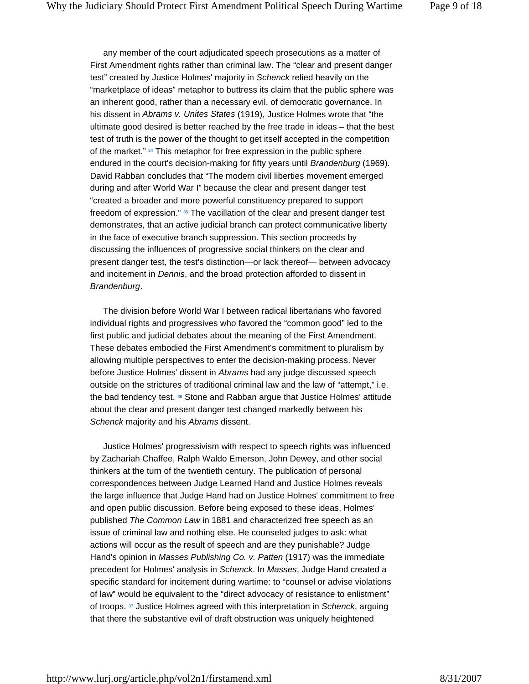any member of the court adjudicated speech prosecutions as a matter of First Amendment rights rather than criminal law. The "clear and present danger test" created by Justice Holmes' majority in *Schenck* relied heavily on the "marketplace of ideas" metaphor to buttress its claim that the public sphere was an inherent good, rather than a necessary evil, of democratic governance. In his dissent in *Abrams v. Unites States* (1919), Justice Holmes wrote that "the ultimate good desired is better reached by the free trade in ideas – that the best test of truth is the power of the thought to get itself accepted in the competition of the market." 34 This metaphor for free expression in the public sphere endured in the court's decision-making for fifty years until *Brandenburg* (1969). David Rabban concludes that "The modern civil liberties movement emerged during and after World War I" because the clear and present danger test "created a broader and more powerful constituency prepared to support freedom of expression." 35 The vacillation of the clear and present danger test demonstrates, that an active judicial branch can protect communicative liberty in the face of executive branch suppression. This section proceeds by discussing the influences of progressive social thinkers on the clear and present danger test, the test's distinction—or lack thereof— between advocacy and incitement in *Dennis*, and the broad protection afforded to dissent in *Brandenburg*.

The division before World War I between radical libertarians who favored individual rights and progressives who favored the "common good" led to the first public and judicial debates about the meaning of the First Amendment. These debates embodied the First Amendment's commitment to pluralism by allowing multiple perspectives to enter the decision-making process. Never before Justice Holmes' dissent in *Abrams* had any judge discussed speech outside on the strictures of traditional criminal law and the law of "attempt," i.e. the bad tendency test. 36 Stone and Rabban argue that Justice Holmes' attitude about the clear and present danger test changed markedly between his *Schenck* majority and his *Abrams* dissent.

Justice Holmes' progressivism with respect to speech rights was influenced by Zachariah Chaffee, Ralph Waldo Emerson, John Dewey, and other social thinkers at the turn of the twentieth century. The publication of personal correspondences between Judge Learned Hand and Justice Holmes reveals the large influence that Judge Hand had on Justice Holmes' commitment to free and open public discussion. Before being exposed to these ideas, Holmes' published *The Common Law* in 1881 and characterized free speech as an issue of criminal law and nothing else. He counseled judges to ask: what actions will occur as the result of speech and are they punishable? Judge Hand's opinion in *Masses Publishing Co. v. Patten* (1917) was the immediate precedent for Holmes' analysis in *Schenck*. In *Masses*, Judge Hand created a specific standard for incitement during wartime: to "counsel or advise violations of law" would be equivalent to the "direct advocacy of resistance to enlistment" of troops. 37 Justice Holmes agreed with this interpretation in *Schenck*, arguing that there the substantive evil of draft obstruction was uniquely heightened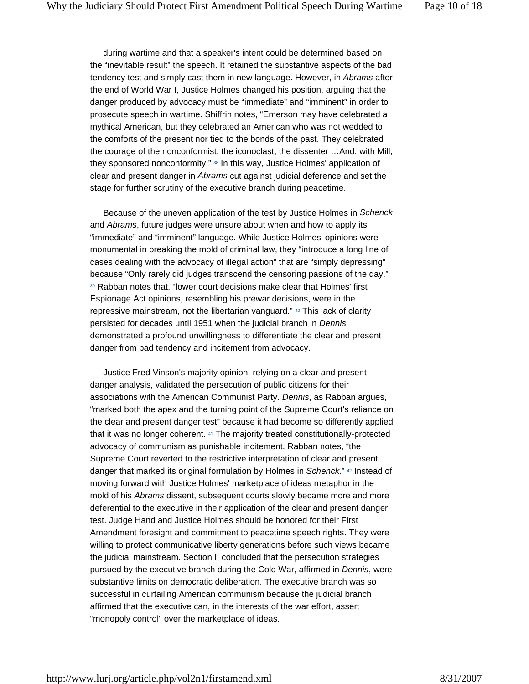during wartime and that a speaker's intent could be determined based on the "inevitable result" the speech. It retained the substantive aspects of the bad tendency test and simply cast them in new language. However, in *Abrams* after the end of World War I, Justice Holmes changed his position, arguing that the danger produced by advocacy must be "immediate" and "imminent" in order to prosecute speech in wartime. Shiffrin notes, "Emerson may have celebrated a mythical American, but they celebrated an American who was not wedded to the comforts of the present nor tied to the bonds of the past. They celebrated the courage of the nonconformist, the iconoclast, the dissenter …And, with Mill, they sponsored nonconformity." 38 In this way, Justice Holmes' application of clear and present danger in *Abrams* cut against judicial deference and set the stage for further scrutiny of the executive branch during peacetime.

Because of the uneven application of the test by Justice Holmes in *Schenck* and *Abrams*, future judges were unsure about when and how to apply its "immediate" and "imminent" language. While Justice Holmes' opinions were monumental in breaking the mold of criminal law, they "introduce a long line of cases dealing with the advocacy of illegal action" that are "simply depressing" because "Only rarely did judges transcend the censoring passions of the day." 39 Rabban notes that, "lower court decisions make clear that Holmes' first Espionage Act opinions, resembling his prewar decisions, were in the repressive mainstream, not the libertarian vanguard." 40 This lack of clarity persisted for decades until 1951 when the judicial branch in *Dennis* demonstrated a profound unwillingness to differentiate the clear and present danger from bad tendency and incitement from advocacy.

Justice Fred Vinson's majority opinion, relying on a clear and present danger analysis, validated the persecution of public citizens for their associations with the American Communist Party. *Dennis*, as Rabban argues, "marked both the apex and the turning point of the Supreme Court's reliance on the clear and present danger test" because it had become so differently applied that it was no longer coherent. 41 The majority treated constitutionally-protected advocacy of communism as punishable incitement. Rabban notes, "the Supreme Court reverted to the restrictive interpretation of clear and present danger that marked its original formulation by Holmes in *Schenck*." 42 Instead of moving forward with Justice Holmes' marketplace of ideas metaphor in the mold of his *Abrams* dissent, subsequent courts slowly became more and more deferential to the executive in their application of the clear and present danger test. Judge Hand and Justice Holmes should be honored for their First Amendment foresight and commitment to peacetime speech rights. They were willing to protect communicative liberty generations before such views became the judicial mainstream. Section II concluded that the persecution strategies pursued by the executive branch during the Cold War, affirmed in *Dennis*, were substantive limits on democratic deliberation. The executive branch was so successful in curtailing American communism because the judicial branch affirmed that the executive can, in the interests of the war effort, assert "monopoly control" over the marketplace of ideas.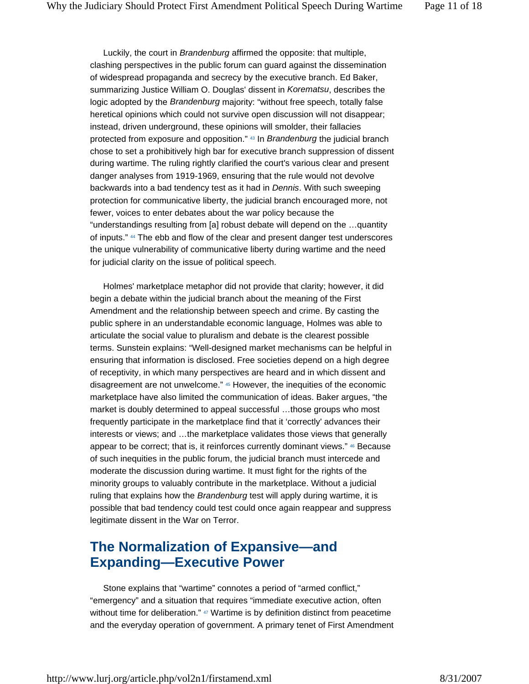Luckily, the court in *Brandenburg* affirmed the opposite: that multiple, clashing perspectives in the public forum can guard against the dissemination of widespread propaganda and secrecy by the executive branch. Ed Baker, summarizing Justice William O. Douglas' dissent in *Korematsu*, describes the logic adopted by the *Brandenburg* majority: "without free speech, totally false heretical opinions which could not survive open discussion will not disappear; instead, driven underground, these opinions will smolder, their fallacies protected from exposure and opposition." 43 In *Brandenburg* the judicial branch chose to set a prohibitively high bar for executive branch suppression of dissent during wartime. The ruling rightly clarified the court's various clear and present danger analyses from 1919-1969, ensuring that the rule would not devolve backwards into a bad tendency test as it had in *Dennis*. With such sweeping protection for communicative liberty, the judicial branch encouraged more, not fewer, voices to enter debates about the war policy because the "understandings resulting from [a] robust debate will depend on the …quantity of inputs." 44 The ebb and flow of the clear and present danger test underscores the unique vulnerability of communicative liberty during wartime and the need for judicial clarity on the issue of political speech.

Holmes' marketplace metaphor did not provide that clarity; however, it did begin a debate within the judicial branch about the meaning of the First Amendment and the relationship between speech and crime. By casting the public sphere in an understandable economic language, Holmes was able to articulate the social value to pluralism and debate is the clearest possible terms. Sunstein explains: "Well-designed market mechanisms can be helpful in ensuring that information is disclosed. Free societies depend on a high degree of receptivity, in which many perspectives are heard and in which dissent and disagreement are not unwelcome." 45 However, the inequities of the economic marketplace have also limited the communication of ideas. Baker argues, "the market is doubly determined to appeal successful …those groups who most frequently participate in the marketplace find that it 'correctly' advances their interests or views; and …the marketplace validates those views that generally appear to be correct; that is, it reinforces currently dominant views." <sup>46</sup> Because of such inequities in the public forum, the judicial branch must intercede and moderate the discussion during wartime. It must fight for the rights of the minority groups to valuably contribute in the marketplace. Without a judicial ruling that explains how the *Brandenburg* test will apply during wartime, it is possible that bad tendency could test could once again reappear and suppress legitimate dissent in the War on Terror.

# **The Normalization of Expansive—and Expanding—Executive Power**

Stone explains that "wartime" connotes a period of "armed conflict," "emergency" and a situation that requires "immediate executive action, often without time for deliberation." 47 Wartime is by definition distinct from peacetime and the everyday operation of government. A primary tenet of First Amendment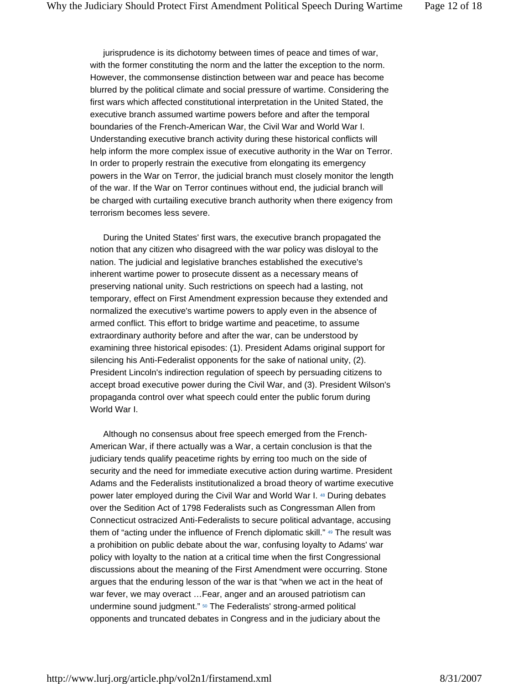jurisprudence is its dichotomy between times of peace and times of war, with the former constituting the norm and the latter the exception to the norm. However, the commonsense distinction between war and peace has become blurred by the political climate and social pressure of wartime. Considering the first wars which affected constitutional interpretation in the United Stated, the executive branch assumed wartime powers before and after the temporal boundaries of the French-American War, the Civil War and World War I. Understanding executive branch activity during these historical conflicts will help inform the more complex issue of executive authority in the War on Terror. In order to properly restrain the executive from elongating its emergency powers in the War on Terror, the judicial branch must closely monitor the length of the war. If the War on Terror continues without end, the judicial branch will be charged with curtailing executive branch authority when there exigency from terrorism becomes less severe.

During the United States' first wars, the executive branch propagated the notion that any citizen who disagreed with the war policy was disloyal to the nation. The judicial and legislative branches established the executive's inherent wartime power to prosecute dissent as a necessary means of preserving national unity. Such restrictions on speech had a lasting, not temporary, effect on First Amendment expression because they extended and normalized the executive's wartime powers to apply even in the absence of armed conflict. This effort to bridge wartime and peacetime, to assume extraordinary authority before and after the war, can be understood by examining three historical episodes: (1). President Adams original support for silencing his Anti-Federalist opponents for the sake of national unity, (2). President Lincoln's indirection regulation of speech by persuading citizens to accept broad executive power during the Civil War, and (3). President Wilson's propaganda control over what speech could enter the public forum during World War I.

Although no consensus about free speech emerged from the French-American War, if there actually was a War, a certain conclusion is that the judiciary tends qualify peacetime rights by erring too much on the side of security and the need for immediate executive action during wartime. President Adams and the Federalists institutionalized a broad theory of wartime executive power later employed during the Civil War and World War I. 48 During debates over the Sedition Act of 1798 Federalists such as Congressman Allen from Connecticut ostracized Anti-Federalists to secure political advantage, accusing them of "acting under the influence of French diplomatic skill." 49 The result was a prohibition on public debate about the war, confusing loyalty to Adams' war policy with loyalty to the nation at a critical time when the first Congressional discussions about the meaning of the First Amendment were occurring. Stone argues that the enduring lesson of the war is that "when we act in the heat of war fever, we may overact …Fear, anger and an aroused patriotism can undermine sound judgment." <sup>50</sup> The Federalists' strong-armed political opponents and truncated debates in Congress and in the judiciary about the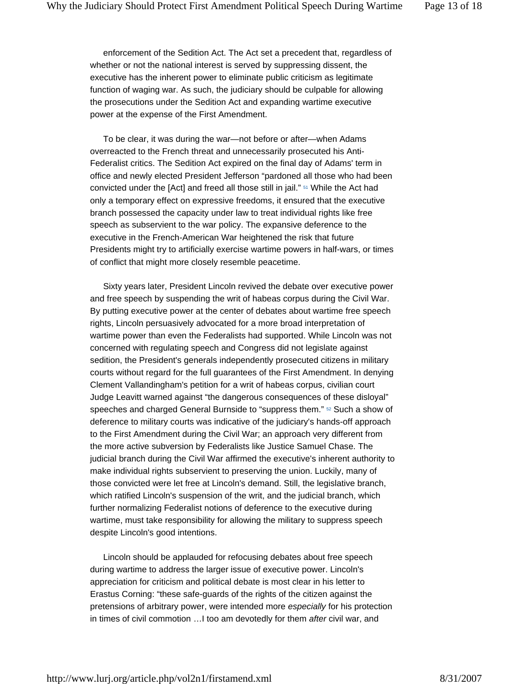enforcement of the Sedition Act. The Act set a precedent that, regardless of whether or not the national interest is served by suppressing dissent, the executive has the inherent power to eliminate public criticism as legitimate function of waging war. As such, the judiciary should be culpable for allowing the prosecutions under the Sedition Act and expanding wartime executive power at the expense of the First Amendment.

To be clear, it was during the war—not before or after—when Adams overreacted to the French threat and unnecessarily prosecuted his Anti-Federalist critics. The Sedition Act expired on the final day of Adams' term in office and newly elected President Jefferson "pardoned all those who had been convicted under the [Act] and freed all those still in jail." 51 While the Act had only a temporary effect on expressive freedoms, it ensured that the executive branch possessed the capacity under law to treat individual rights like free speech as subservient to the war policy. The expansive deference to the executive in the French-American War heightened the risk that future Presidents might try to artificially exercise wartime powers in half-wars, or times of conflict that might more closely resemble peacetime.

Sixty years later, President Lincoln revived the debate over executive power and free speech by suspending the writ of habeas corpus during the Civil War. By putting executive power at the center of debates about wartime free speech rights, Lincoln persuasively advocated for a more broad interpretation of wartime power than even the Federalists had supported. While Lincoln was not concerned with regulating speech and Congress did not legislate against sedition, the President's generals independently prosecuted citizens in military courts without regard for the full guarantees of the First Amendment. In denying Clement Vallandingham's petition for a writ of habeas corpus, civilian court Judge Leavitt warned against "the dangerous consequences of these disloyal" speeches and charged General Burnside to "suppress them." <sup>52</sup> Such a show of deference to military courts was indicative of the judiciary's hands-off approach to the First Amendment during the Civil War; an approach very different from the more active subversion by Federalists like Justice Samuel Chase. The judicial branch during the Civil War affirmed the executive's inherent authority to make individual rights subservient to preserving the union. Luckily, many of those convicted were let free at Lincoln's demand. Still, the legislative branch, which ratified Lincoln's suspension of the writ, and the judicial branch, which further normalizing Federalist notions of deference to the executive during wartime, must take responsibility for allowing the military to suppress speech despite Lincoln's good intentions.

Lincoln should be applauded for refocusing debates about free speech during wartime to address the larger issue of executive power. Lincoln's appreciation for criticism and political debate is most clear in his letter to Erastus Corning: "these safe-guards of the rights of the citizen against the pretensions of arbitrary power, were intended more *especially* for his protection in times of civil commotion …I too am devotedly for them *after* civil war, and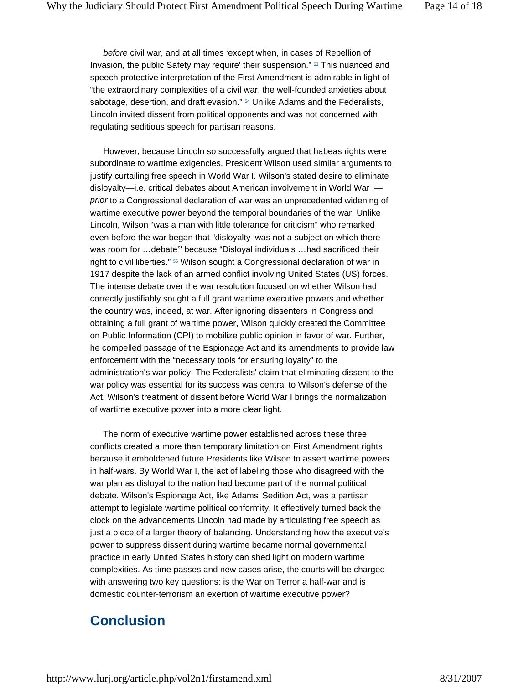*before* civil war, and at all times 'except when, in cases of Rebellion of Invasion, the public Safety may require' their suspension." 53 This nuanced and speech-protective interpretation of the First Amendment is admirable in light of "the extraordinary complexities of a civil war, the well-founded anxieties about sabotage, desertion, and draft evasion." <sup>54</sup> Unlike Adams and the Federalists, Lincoln invited dissent from political opponents and was not concerned with regulating seditious speech for partisan reasons.

However, because Lincoln so successfully argued that habeas rights were subordinate to wartime exigencies, President Wilson used similar arguments to justify curtailing free speech in World War I. Wilson's stated desire to eliminate disloyalty—i.e. critical debates about American involvement in World War I *prior* to a Congressional declaration of war was an unprecedented widening of wartime executive power beyond the temporal boundaries of the war. Unlike Lincoln, Wilson "was a man with little tolerance for criticism" who remarked even before the war began that "disloyalty 'was not a subject on which there was room for …debate'" because "Disloyal individuals …had sacrificed their right to civil liberties." 55 Wilson sought a Congressional declaration of war in 1917 despite the lack of an armed conflict involving United States (US) forces. The intense debate over the war resolution focused on whether Wilson had correctly justifiably sought a full grant wartime executive powers and whether the country was, indeed, at war. After ignoring dissenters in Congress and obtaining a full grant of wartime power, Wilson quickly created the Committee on Public Information (CPI) to mobilize public opinion in favor of war. Further, he compelled passage of the Espionage Act and its amendments to provide law enforcement with the "necessary tools for ensuring loyalty" to the administration's war policy. The Federalists' claim that eliminating dissent to the war policy was essential for its success was central to Wilson's defense of the Act. Wilson's treatment of dissent before World War I brings the normalization of wartime executive power into a more clear light.

The norm of executive wartime power established across these three conflicts created a more than temporary limitation on First Amendment rights because it emboldened future Presidents like Wilson to assert wartime powers in half-wars. By World War I, the act of labeling those who disagreed with the war plan as disloyal to the nation had become part of the normal political debate. Wilson's Espionage Act, like Adams' Sedition Act, was a partisan attempt to legislate wartime political conformity. It effectively turned back the clock on the advancements Lincoln had made by articulating free speech as just a piece of a larger theory of balancing. Understanding how the executive's power to suppress dissent during wartime became normal governmental practice in early United States history can shed light on modern wartime complexities. As time passes and new cases arise, the courts will be charged with answering two key questions: is the War on Terror a half-war and is domestic counter-terrorism an exertion of wartime executive power?

# **Conclusion**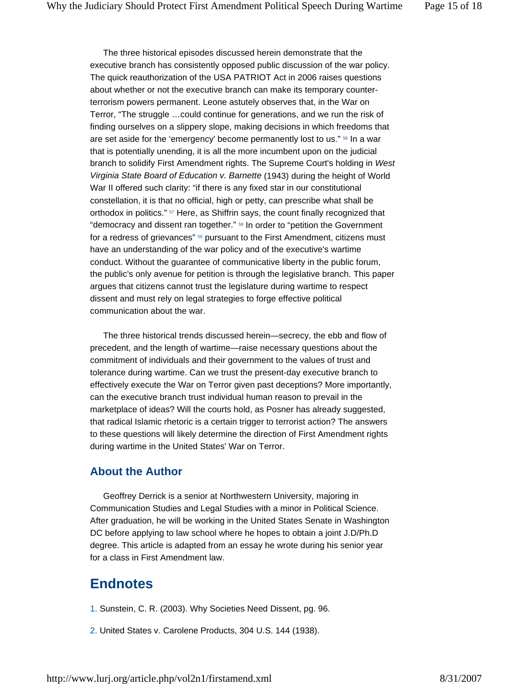The three historical episodes discussed herein demonstrate that the executive branch has consistently opposed public discussion of the war policy. The quick reauthorization of the USA PATRIOT Act in 2006 raises questions about whether or not the executive branch can make its temporary counterterrorism powers permanent. Leone astutely observes that, in the War on Terror, "The struggle …could continue for generations, and we run the risk of finding ourselves on a slippery slope, making decisions in which freedoms that are set aside for the 'emergency' become permanently lost to us." 56 In a war that is potentially unending, it is all the more incumbent upon on the judicial branch to solidify First Amendment rights. The Supreme Court's holding in *West Virginia State Board of Education v. Barnette* (1943) during the height of World War II offered such clarity: "if there is any fixed star in our constitutional constellation, it is that no official, high or petty, can prescribe what shall be orthodox in politics."  $57$  Here, as Shiffrin says, the count finally recognized that "democracy and dissent ran together." 58 In order to "petition the Government for a redress of grievances" <sup>59</sup> pursuant to the First Amendment, citizens must have an understanding of the war policy and of the executive's wartime conduct. Without the guarantee of communicative liberty in the public forum, the public's only avenue for petition is through the legislative branch. This paper argues that citizens cannot trust the legislature during wartime to respect dissent and must rely on legal strategies to forge effective political communication about the war.

The three historical trends discussed herein—secrecy, the ebb and flow of precedent, and the length of wartime—raise necessary questions about the commitment of individuals and their government to the values of trust and tolerance during wartime. Can we trust the present-day executive branch to effectively execute the War on Terror given past deceptions? More importantly, can the executive branch trust individual human reason to prevail in the marketplace of ideas? Will the courts hold, as Posner has already suggested, that radical Islamic rhetoric is a certain trigger to terrorist action? The answers to these questions will likely determine the direction of First Amendment rights during wartime in the United States' War on Terror.

#### **About the Author**

Geoffrey Derrick is a senior at Northwestern University, majoring in Communication Studies and Legal Studies with a minor in Political Science. After graduation, he will be working in the United States Senate in Washington DC before applying to law school where he hopes to obtain a joint J.D/Ph.D degree. This article is adapted from an essay he wrote during his senior year for a class in First Amendment law.

#### **Endnotes**

- 1. Sunstein, C. R. (2003). Why Societies Need Dissent, pg. 96.
- 2. United States v. Carolene Products, 304 U.S. 144 (1938).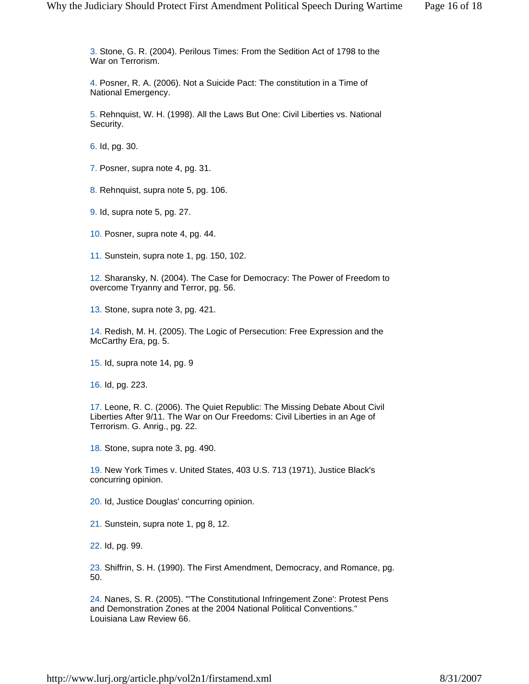3. Stone, G. R. (2004). Perilous Times: From the Sedition Act of 1798 to the War on Terrorism.

4. Posner, R. A. (2006). Not a Suicide Pact: The constitution in a Time of National Emergency.

5. Rehnquist, W. H. (1998). All the Laws But One: Civil Liberties vs. National Security.

6. Id, pg. 30.

7. Posner, supra note 4, pg. 31.

8. Rehnquist, supra note 5, pg. 106.

9. Id, supra note 5, pg. 27.

10. Posner, supra note 4, pg. 44.

11. Sunstein, supra note 1, pg. 150, 102.

12. Sharansky, N. (2004). The Case for Democracy: The Power of Freedom to overcome Tryanny and Terror, pg. 56.

13. Stone, supra note 3, pg. 421.

14. Redish, M. H. (2005). The Logic of Persecution: Free Expression and the McCarthy Era, pg. 5.

15. Id, supra note 14, pg. 9

16. Id, pg. 223.

17. Leone, R. C. (2006). The Quiet Republic: The Missing Debate About Civil Liberties After 9/11. The War on Our Freedoms: Civil Liberties in an Age of Terrorism. G. Anrig., pg. 22.

18. Stone, supra note 3, pg. 490.

19. New York Times v. United States, 403 U.S. 713 (1971), Justice Black's concurring opinion.

20. Id, Justice Douglas' concurring opinion.

21. Sunstein, supra note 1, pg 8, 12.

22. Id, pg. 99.

23. Shiffrin, S. H. (1990). The First Amendment, Democracy, and Romance, pg. 50.

24. Nanes, S. R. (2005). "'The Constitutional Infringement Zone': Protest Pens and Demonstration Zones at the 2004 National Political Conventions." Louisiana Law Review 66.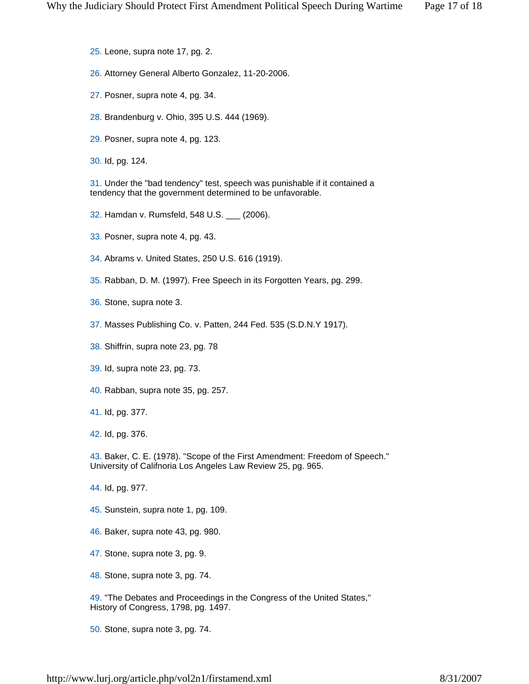- 25. Leone, supra note 17, pg. 2.
- 26. Attorney General Alberto Gonzalez, 11-20-2006.
- 27. Posner, supra note 4, pg. 34.
- 28. Brandenburg v. Ohio, 395 U.S. 444 (1969).
- 29. Posner, supra note 4, pg. 123.
- 30. Id, pg. 124.

31. Under the "bad tendency" test, speech was punishable if it contained a tendency that the government determined to be unfavorable.

- 32. Hamdan v. Rumsfeld, 548 U.S. \_\_\_ (2006).
- 33. Posner, supra note 4, pg. 43.
- 34. Abrams v. United States, 250 U.S. 616 (1919).
- 35. Rabban, D. M. (1997). Free Speech in its Forgotten Years, pg. 299.
- 36. Stone, supra note 3.
- 37. Masses Publishing Co. v. Patten, 244 Fed. 535 (S.D.N.Y 1917).
- 38. Shiffrin, supra note 23, pg. 78
- 39. Id, supra note 23, pg. 73.
- 40. Rabban, supra note 35, pg. 257.
- 41. Id, pg. 377.
- 42. Id, pg. 376.

43. Baker, C. E. (1978). "Scope of the First Amendment: Freedom of Speech." University of Califnoria Los Angeles Law Review 25, pg. 965.

- 44. Id, pg. 977.
- 45. Sunstein, supra note 1, pg. 109.
- 46. Baker, supra note 43, pg. 980.
- 47. Stone, supra note 3, pg. 9.
- 48. Stone, supra note 3, pg. 74.

49. "The Debates and Proceedings in the Congress of the United States," History of Congress, 1798, pg. 1497.

50. Stone, supra note 3, pg. 74.